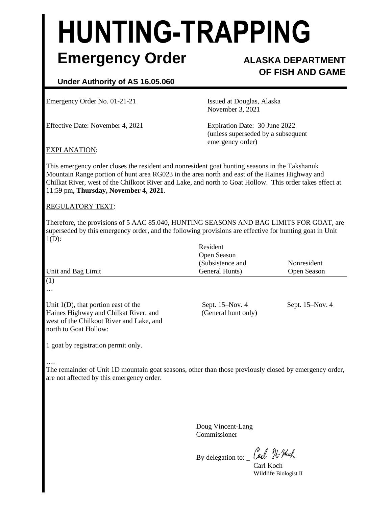# **HUNTING-TRAPPING Emergency Order ALASKA DEPARTMENT**

## **OF FISH AND GAME**

### **Under Authority of AS 16.05.060**

Emergency Order No. 01-21-21 Issued at Douglas, Alaska

Effective Date: November 4, 2021 Expiration Date: 30 June 2022

November 3, 2021

(unless superseded by a subsequent emergency order)

#### EXPLANATION:

This emergency order closes the resident and nonresident goat hunting seasons in the Takshanuk Mountain Range portion of hunt area RG023 in the area north and east of the Haines Highway and Chilkat River, west of the Chilkoot River and Lake, and north to Goat Hollow. This order takes effect at 11:59 pm, **Thursday, November 4, 2021**.

#### REGULATORY TEXT:

Therefore, the provisions of 5 AAC 85.040, HUNTING SEASONS AND BAG LIMITS FOR GOAT, are superseded by this emergency order, and the following provisions are effective for hunting goat in Unit 1(D):

| Unit and Bag Limit                                                                                                                                   | Resident<br>Open Season<br>(Subsistence and<br>General Hunts) | Nonresident<br>Open Season |
|------------------------------------------------------------------------------------------------------------------------------------------------------|---------------------------------------------------------------|----------------------------|
| (1)<br>$\cdots$                                                                                                                                      |                                                               |                            |
| Unit $1(D)$ , that portion east of the<br>Haines Highway and Chilkat River, and<br>west of the Chilkoot River and Lake, and<br>north to Goat Hollow: | Sept. 15–Nov. 4<br>(General hunt only)                        | Sept. $15-Nov. 4$          |

1 goat by registration permit only.

….

The remainder of Unit 1D mountain goat seasons, other than those previously closed by emergency order, are not affected by this emergency order.

> Doug Vincent-Lang Commissioner

By delegation to:  $\_\mathit{Gal}\ \mathcal{H}$  Hoch Carl Koch

Wildlife Biologist II